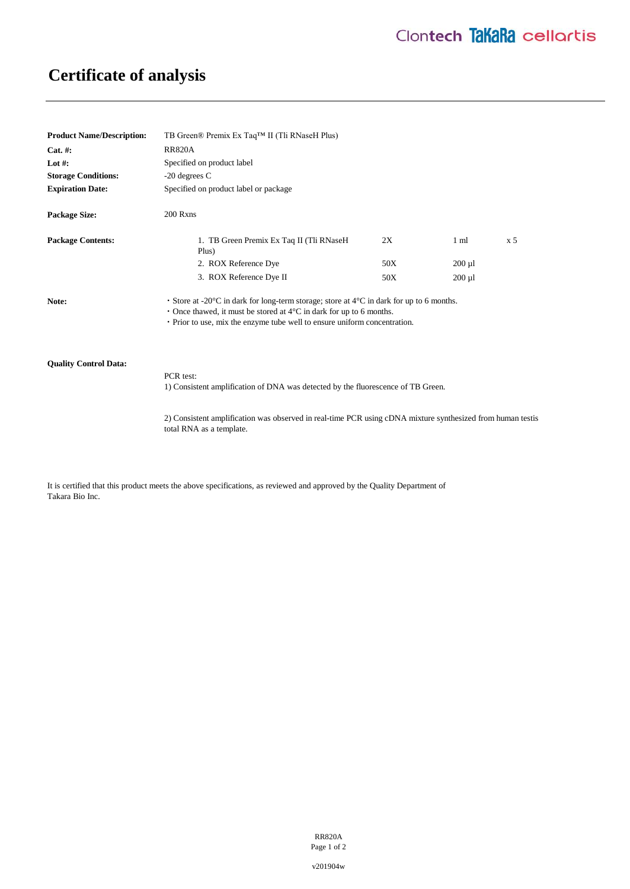# **Certificate of analysis**

| <b>Product Name/Description:</b> | TB Green® Premix Ex Taq™ II (Tli RNaseH Plus)                                                                                                                                                                                                                             |     |                |                |
|----------------------------------|---------------------------------------------------------------------------------------------------------------------------------------------------------------------------------------------------------------------------------------------------------------------------|-----|----------------|----------------|
| $Cat. \#:$                       | <b>RR820A</b>                                                                                                                                                                                                                                                             |     |                |                |
| Lot #:                           | Specified on product label                                                                                                                                                                                                                                                |     |                |                |
| <b>Storage Conditions:</b>       | $-20$ degrees C                                                                                                                                                                                                                                                           |     |                |                |
| <b>Expiration Date:</b>          | Specified on product label or package                                                                                                                                                                                                                                     |     |                |                |
| <b>Package Size:</b>             | 200 Rxns                                                                                                                                                                                                                                                                  |     |                |                |
| <b>Package Contents:</b>         | 1. TB Green Premix Ex Taq II (Tli RNaseH)<br>Plus)                                                                                                                                                                                                                        | 2X  | $1 \text{ ml}$ | x <sub>5</sub> |
|                                  | 2. ROX Reference Dye                                                                                                                                                                                                                                                      | 50X | $200 \mu l$    |                |
|                                  | 3. ROX Reference Dye II                                                                                                                                                                                                                                                   | 50X | $200 \mu l$    |                |
| Note:                            | • Store at -20 $\degree$ C in dark for long-term storage; store at $4\degree$ C in dark for up to 6 months.<br>• Once thawed, it must be stored at $4^{\circ}$ C in dark for up to 6 months.<br>• Prior to use, mix the enzyme tube well to ensure uniform concentration. |     |                |                |

## **Quality Control Data:**

PCR test:

1) Consistent amplification of DNA was detected by the fluorescence of TB Green.

2) Consistent amplification was observed in real-time PCR using cDNA mixture synthesized from human testis total RNA as a template.

It is certified that this product meets the above specifications, as reviewed and approved by the Quality Department of Takara Bio Inc.

> RR820A Page 1 of 2

v201904w